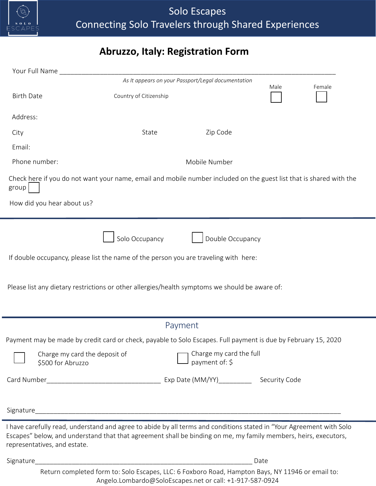

Solo Escapes Connecting Solo Travelers through Shared Experiences

## **Abruzzo, Italy: Registration Form**

| Your Full Name                                                                                                                                                                                                                                                          |                                                                                                  |                                                    |      |        |
|-------------------------------------------------------------------------------------------------------------------------------------------------------------------------------------------------------------------------------------------------------------------------|--------------------------------------------------------------------------------------------------|----------------------------------------------------|------|--------|
|                                                                                                                                                                                                                                                                         |                                                                                                  | As It appears on your Passport/Legal documentation | Male | Female |
| <b>Birth Date</b>                                                                                                                                                                                                                                                       | Country of Citizenship                                                                           |                                                    |      |        |
| Address:                                                                                                                                                                                                                                                                |                                                                                                  |                                                    |      |        |
| City                                                                                                                                                                                                                                                                    | State                                                                                            | Zip Code                                           |      |        |
| Email:                                                                                                                                                                                                                                                                  |                                                                                                  |                                                    |      |        |
| Phone number:                                                                                                                                                                                                                                                           |                                                                                                  | Mobile Number                                      |      |        |
| Check here if you do not want your name, email and mobile number included on the guest list that is shared with the<br>group                                                                                                                                            |                                                                                                  |                                                    |      |        |
| How did you hear about us?                                                                                                                                                                                                                                              |                                                                                                  |                                                    |      |        |
|                                                                                                                                                                                                                                                                         |                                                                                                  | Double Occupancy                                   |      |        |
|                                                                                                                                                                                                                                                                         | Solo Occupancy                                                                                   |                                                    |      |        |
| If double occupancy, please list the name of the person you are traveling with here:                                                                                                                                                                                    |                                                                                                  |                                                    |      |        |
| Please list any dietary restrictions or other allergies/health symptoms we should be aware of:                                                                                                                                                                          |                                                                                                  |                                                    |      |        |
|                                                                                                                                                                                                                                                                         |                                                                                                  | Payment                                            |      |        |
| Payment may be made by credit card or check, payable to Solo Escapes. Full payment is due by February 15, 2020                                                                                                                                                          |                                                                                                  |                                                    |      |        |
| Charge my card the deposit of<br>\$500 for Abruzzo                                                                                                                                                                                                                      |                                                                                                  | Charge my card the full<br>payment of: \$          |      |        |
|                                                                                                                                                                                                                                                                         |                                                                                                  |                                                    |      |        |
|                                                                                                                                                                                                                                                                         |                                                                                                  |                                                    |      |        |
|                                                                                                                                                                                                                                                                         |                                                                                                  |                                                    |      |        |
| I have carefully read, understand and agree to abide by all terms and conditions stated in "Your Agreement with Solo<br>Escapes" below, and understand that that agreement shall be binding on me, my family members, heirs, executors,<br>representatives, and estate. |                                                                                                  |                                                    |      |        |
|                                                                                                                                                                                                                                                                         |                                                                                                  |                                                    | Date |        |
|                                                                                                                                                                                                                                                                         | Return completed form to: Solo Escapes, LLC: 6 Foxboro Road, Hampton Bays, NY 11946 or email to: |                                                    |      |        |

Angelo.Lombardo@SoloEscapes.net or call: +1-917-587-0924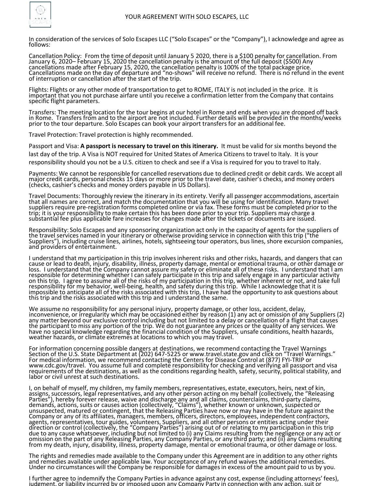

In consideration of the services of Solo Escapes LLC ("Solo Escapes" or the "Company"), I acknowledge and agree as follows:

Cancellation Policy: From the time of deposit until January 5 2020, there is a \$100 penalty for cancellation. From January 6, 2020– February 15, 2020 the cancellation penalty is the amount of the full deposit (\$500) Any cancellations made after February 15, 2020, the cancellation penalty is 100% of the total package price. Cancellations made on the day of departure and "no-shows" will receive no refund. There is no refund in the event of interruption or cancellation after the start of the trip.

Flights: Flights or any other mode of transportation to get to ROME, ITALY is not included in the price. It is important that you not purchase airfare until you receive a confirmation letter from the Company that contains specific flight parameters.

Transfers: The meeting location for the tour begins at our hotel in Rome and ends when you are dropped off back in Rome. Transfers from and to the airport are not included. Further details will be provided in the months/weeks prior to the tour departure. Solo Escapes can book your airport transfers for an additional fee.

Travel Protection: Travel protection is highly recommended.

Passport and Visa: **A passport is necessary to travel on this itinerary.** It must be valid for six months beyond the

last day of the trip. A Visa is NOT required for United States of America Citizens to travel to Italy. It is your responsibility should you not be a U.S. citizen to check and see if a Visa is required for you to travel to Italy.

Payments: We cannot be responsible for cancelled reservations due to declined credit or debit cards. We accept all major credit cards, personal checks 15 days or more prior to the travel date, cashier's checks, and money orders (checks, cashier's checks and money orders payable in US Dollars).

Travel Documents: Thoroughly review the itinerary in its entirety. Verify all passenger accommodations, ascertain that all names are correct, and match the documentation that you will be using for identification. Many travel suppliers require pre-registration forms completed online or via fax. These forms must be completed prior to the trip; it is your responsibility to make certain this has been done prior to your trip. Suppliers may charge a substantial fee plus applicable fare increases for changes made after the tickets or documents are issued.

Responsibility: Solo Escapes and any sponsoring organization act only in the capacity of agents for the suppliers of the travel services named in your itinerary or otherwise providing service in connection with this trip ("the Suppliers"), including cruise lines, airlines, hotels, sightseeing tour operators, bus lines, shore excursion companies, and providers of entertainment.

I understand that my participation in this trip involvesinherent risks and other risks, hazards, and dangers that can cause or lead to death, injury, disability, illness, property damage, mental or emotional trauma, or other damage or loss. I understand that the Company cannot assure my safety or eliminate all of these risks. I understand that I am responsible for determining whether I can safely participate in this trip and safely engage in any particular activity on this trip. I agree to assume all of the risks of my participation in this trip, whether inherent or not, and take full responsibility for my behavior, well-being, health, and safety during this trip. While I acknowledge that it is impossible to anticipate all of the risks associated with this trip, I have had the opportunity to ask questions about this trip and the risks associated with this trip and I understand the same.

We assume no responsibility for any personal injury, property damage, or other loss, accident, delay, inconvenience, or irregularity which may be occasioned either by reason (1) any act or omission of any Suppliers (2) any matter beyond our exclusive control including but not limited to a delay or cancellation of a flight that causes the participant to miss any portion of the trip. We do not guarantee any prices or the quality of any services. We have no special knowledge regarding the financial condition of the Suppliers, unsafe conditions, health hazards, weather hazards, or climate extremes at locationsto which you may travel.

For information concerning possible dangers at destinations, we recommend contacting the Travel Warnings Section of the U.S. State Department at (202) 647-5225 or www.travel.state.gov and click on "Travel Warnings." For medical information, we recommend contacting the Centers for Disease Control at (877) FYI-TRIP or www.cdc.gov/travel. You assume full and complete responsibility for checking and verifying all passport and visa requirements of the destinations, as well as the conditions regarding health, safety, security, political stability, and labor or civil unrest at such destinations.

I, on behalf of myself, my children, my family members, representatives, estate, executors, heirs, next of kin, assigns, successors, legal representatives, and any other person acting on my behalf (collectively, the "Releasing Parties"), hereby forever release, waive and discharge any and all claims, counterclaims, third-party claims, demands, actions, suits or causes action (collectively, "Claims"), whether known or unknown, suspected or unsuspected, matured or contingent, that the Releasing Parties have now or may have in the future against the Company or any of its affiliates, managers, members, officers, directors, employees, independent contractors, agents, representatives, tour guides, volunteers, Suppliers, and all other persons or entities acting under their direction or control (collectively, the "Company Parties") arising out of or relating to my participation in this trip due to any cause whatsoever, including but not limited to (i) any Claims resulting from the negligence or any act or omission on the part of any Releasing Parties, any Company Parties, or any third party; and (ii) any Claims resulting from my death, injury, disability, illness, property damage, mental or emotional trauma, or other damage or loss.

The rights and remedies made available to the Company under this Agreement are in addition to any other rights and remedies available under applicable law. Your acceptance of any refund waives the additional remedies. Under no circumstances will the Company be responsible for damages in excess of the amount paid to us by you.

I further agree to indemnify the Company Partiesin advance against any cost, expense (including attorneys' fees), judgment, or liability incurred by or imposed upon any Company Party in connection with any action,suit or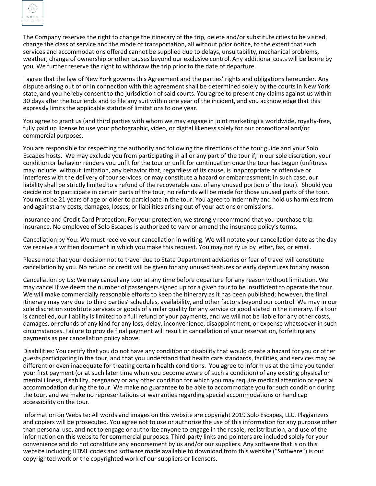

The Company reserves the right to change the itinerary of the trip, delete and/or substitute cities to be visited, change the class of service and the mode of transportation, all without prior notice, to the extent that such services and accommodations offered cannot be supplied due to delays, unsuitability, mechanical problems, weather, change of ownership or other causes beyond our exclusive control. Any additional costs will be borne by you. We further reserve the right to withdraw the trip prior to the date of departure.

I agree that the law of New York governs this Agreement and the parties' rights and obligations hereunder. Any dispute arising out of or in connection with this agreement shall be determined solely by the courts in New York state, and you hereby consent to the jurisdiction of said courts. You agree to present any claims against us within 30 days after the tour ends and to file any suit within one year of the incident, and you acknowledge that this expressly limits the applicable statute of limitations to one year.

You agree to grant us (and third parties with whom we may engage in joint marketing) a worldwide, royalty-free, fully paid up license to use your photographic, video, or digital likeness solely for our promotional and/or commercial purposes.

You are responsible for respecting the authority and following the directions of the tour guide and your Solo Escapes hosts. We may exclude you from participating in all or any part of the tour if, in our sole discretion, your condition or behavior renders you unfit for the tour or unfit for continuation once the tour has begun (unfitness may include, without limitation, any behavior that, regardless of its cause, is inappropriate or offensive or interferes with the delivery of tour services, or may constitute a hazard or embarrassment; in such case, our liability shall be strictly limited to a refund of the recoverable cost of any unused portion of the tour). Should you decide not to participate in certain parts of the tour, no refunds will be made for those unused parts of the tour. You must be 21 years of age or older to participate in the tour. You agree to indemnify and hold us harmless from and against any costs, damages, losses, or liabilities arising out of your actions or omissions.

Insurance and Credit Card Protection: For your protection, we strongly recommend that you purchase trip insurance. No employee of Solo Escapes is authorized to vary or amend the insurance policy's terms.

Cancellation by You: We must receive your cancellation in writing. We will notate your cancellation date as the day we receive a written document in which you make this request. You may notify us by letter, fax, or email.

Please note that your decision not to travel due to State Department advisories or fear of travel will constitute cancellation by you. No refund or credit will be given for any unused features or early departures for any reason.

Cancellation by Us: We may cancel any tour at any time before departure for any reason without limitation. We may cancel if we deem the number of passengers signed up for a given tour to be insufficient to operate the tour. We will make commercially reasonable efforts to keep the itinerary as it has been published; however, the final itinerary may vary due to third parties' schedules, availability, and other factors beyond our control. We may in our sole discretion substitute services or goods of similar quality for any service or good stated in the itinerary. If a tour is cancelled, our liability is limited to a full refund of your payments, and we will not be liable for any other costs, damages, or refunds of any kind for any loss, delay, inconvenience, disappointment, or expense whatsoever in such circumstances. Failure to provide final payment will result in cancellation of your reservation, forfeiting any payments as per cancellation policy above.

Disabilities: You certify that you do not have any condition or disability that would create a hazard for you or other guests participating in the tour, and that you understand that health care standards, facilities, and services may be different or even inadequate for treating certain health conditions. You agree to inform us at the time you tender your first payment (or at such later time when you become aware of such a condition) of any existing physical or mental illness, disability, pregnancy or any other condition for which you may require medical attention or special accommodation during the tour. We make no guarantee to be able to accommodate you for such condition during the tour, and we make no representations or warranties regarding special accommodations or handicap accessibility on the tour.

Information on Website: All words and images on this website are copyright 2019 Solo Escapes, LLC. Plagiarizers and copiers will be prosecuted. You agree not to use or authorize the use of this information for any purpose other than personal use, and not to engage or authorize anyone to engage in the resale, redistribution, and use of the information on this website for commercial purposes. Third-party links and pointers are included solely for your convenience and do not constitute any endorsement by us and/or our suppliers. Any software that is on this website including HTML codes and software made available to download from this website ("Software") is our copyrighted work or the copyrighted work of our suppliers or licensors.